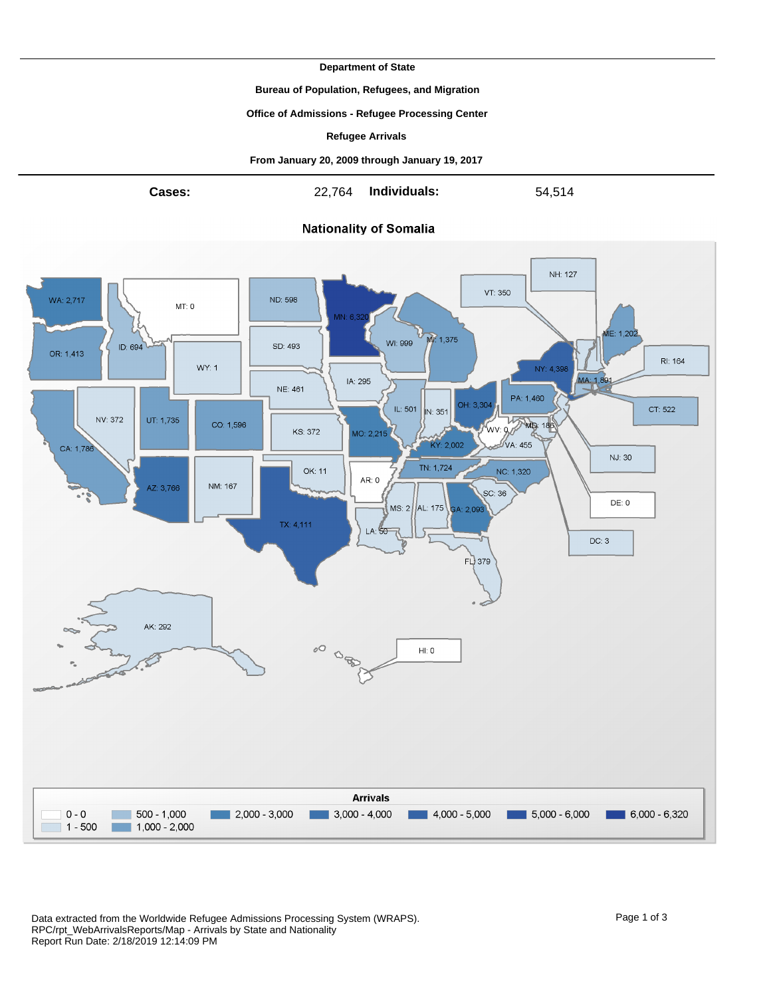**Department of State**

**Bureau of Population, Refugees, and Migration**

**Office of Admissions - Refugee Processing Center**

**Refugee Arrivals**

**From January 20, 2009 through January 19, 2017**



Data extracted from the Worldwide Refugee Admissions Processing System (WRAPS). Page 1 of 3 RPC/rpt\_WebArrivalsReports/Map - Arrivals by State and Nationality Report Run Date: 2/18/2019 12:14:09 PM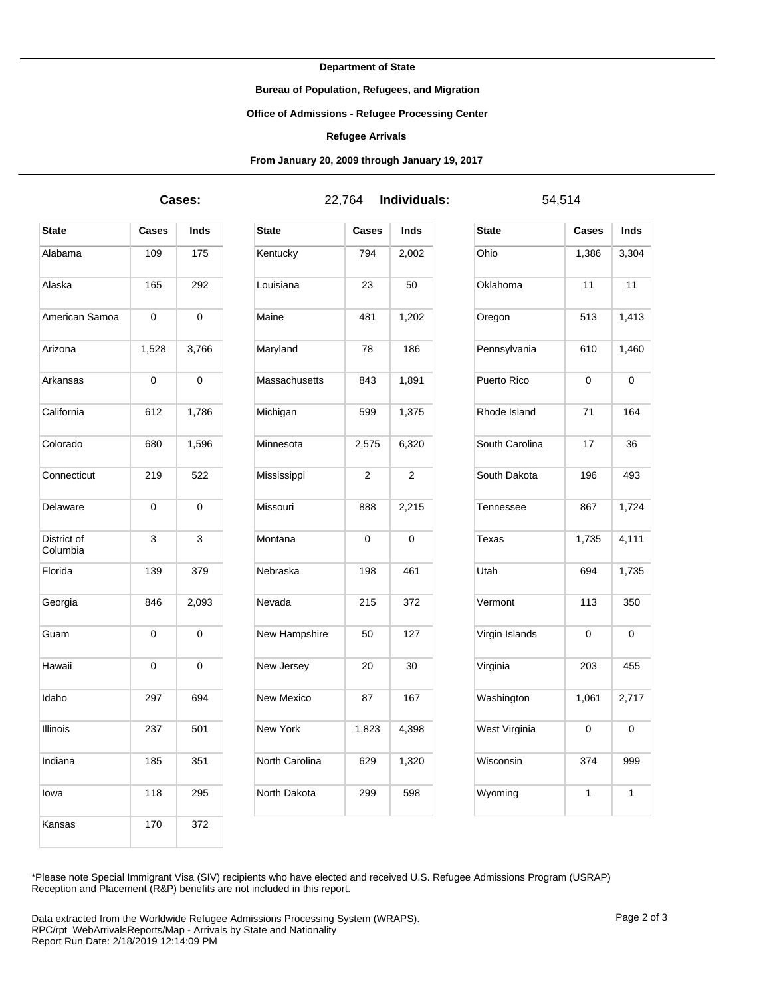**Department of State**

**Bureau of Population, Refugees, and Migration**

**Office of Admissions - Refugee Processing Center**

## **Refugee Arrivals**

**From January 20, 2009 through January 19, 2017**

**Cases:** 22,764 **Individuals:** 54,514

| <b>State</b>            | Cases | Inds  |
|-------------------------|-------|-------|
| Alabama                 | 109   | 175   |
| Alaska                  | 165   | 292   |
| American Samoa          | 0     | 0     |
| Arizona                 | 1,528 | 3,766 |
| Arkansas                | 0     | 0     |
| California              | 612   | 1,786 |
| Colorado                | 680   | 1,596 |
| Connecticut             | 219   | 522   |
| Delaware                | 0     | 0     |
| District of<br>Columbia | 3     | 3     |
| Florida                 | 139   | 379   |
| Georgia                 | 846   | 2,093 |
| Guam                    | 0     | 0     |
| Hawaii                  | 0     | 0     |
| Idaho                   | 297   | 694   |
| Illinois                | 237   | 501   |
| Indiana                 | 185   | 351   |
| lowa                    | 118   | 295   |
| Kansas                  | 170   | 372   |

| State          | Cases | <b>Inds</b>    |
|----------------|-------|----------------|
| Kentucky       | 794   | 2,002          |
| Louisiana      | 23    | 50             |
| Maine          | 481   | 1,202          |
| Maryland       | 78    | 186            |
| Massachusetts  | 843   | 1,891          |
| Michigan       | 599   | 1,375          |
| Minnesota      | 2,575 | 6,320          |
| Mississippi    | 2     | $\overline{2}$ |
| Missouri       | 888   | 2,215          |
| Montana        | 0     | 0              |
| Nebraska       | 198   | 461            |
| Nevada         | 215   | 372            |
| New Hampshire  | 50    | 127            |
| New Jersey     | 20    | 30             |
| New Mexico     | 87    | 167            |
| New York       | 1,823 | 4,398          |
| North Carolina | 629   | 1,320          |
| North Dakota   | 299   | 598            |

| <b>State</b>   | <b>Cases</b> | Inds  |
|----------------|--------------|-------|
| Ohio           | 1,386        | 3,304 |
| Oklahoma       | 11           | 11    |
| Oregon         | 513          | 1,413 |
| Pennsylvania   | 610          | 1,460 |
| Puerto Rico    | 0            | 0     |
| Rhode Island   | 71           | 164   |
| South Carolina | 17           | 36    |
| South Dakota   | 196          | 493   |
| Tennessee      | 867          | 1,724 |
| Texas          | 1,735        | 4,111 |
| Utah           | 694          | 1,735 |
| Vermont        | 113          | 350   |
| Virgin Islands | 0            | 0     |
| Virginia       | 203          | 455   |
| Washington     | 1,061        | 2,717 |
| West Virginia  | 0            | 0     |
| Wisconsin      | 374          | 999   |
| Wyoming        | 1            | 1     |

\*Please note Special Immigrant Visa (SIV) recipients who have elected and received U.S. Refugee Admissions Program (USRAP) Reception and Placement (R&P) benefits are not included in this report.

Data extracted from the Worldwide Refugee Admissions Processing System (WRAPS). Page 2 of 3 RPC/rpt\_WebArrivalsReports/Map - Arrivals by State and Nationality Report Run Date: 2/18/2019 12:14:09 PM